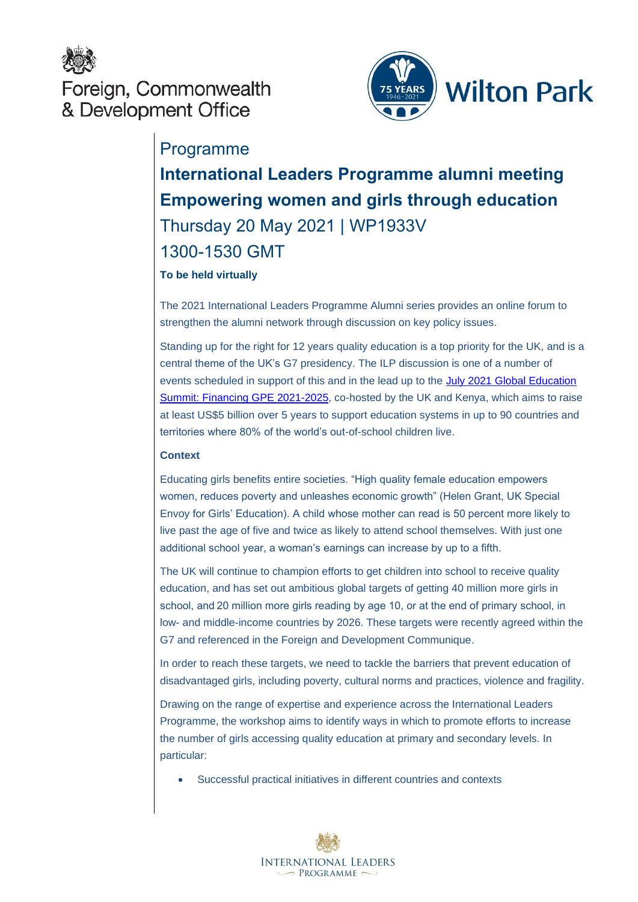

Foreign, Commonwealth & Development Office



## Programme

# **International Leaders Programme alumni meeting Empowering women and girls through education** Thursday 20 May 2021 | WP1933V 1300-1530 GMT

### **To be held virtually**

The 2021 International Leaders Programme Alumni series provides an online forum to strengthen the alumni network through discussion on key policy issues.

Standing up for the right for 12 years quality education is a top priority for the UK, and is a central theme of the UK's G7 presidency. The ILP discussion is one of a number of events scheduled in support of this and in the lead up to the [July 2021 Global Education](https://www.globalpartnership.org/financing-2025/summit)  [Summit: Financing GPE 2021-2025,](https://www.globalpartnership.org/financing-2025/summit) co-hosted by the UK and Kenya, which aims to raise at least US\$5 billion over 5 years to support education systems in up to 90 countries and territories where 80% of the world's out-of-school children live.

#### **Context**

Educating girls benefits entire societies. "High quality female education empowers women, reduces poverty and unleashes economic growth" (Helen Grant, UK Special Envoy for Girls' Education). A child whose mother can read is 50 percent more likely to live past the age of five and twice as likely to attend school themselves. With just one additional school year, a woman's earnings can increase by up to a fifth.

The UK will continue to champion efforts to get children into school to receive quality education, and has set out ambitious global targets of getting 40 million more girls in school, and 20 million more girls reading by age 10, or at the end of primary school, in low- and middle-income countries by 2026. These targets were recently agreed within the G7 and referenced in the Foreign and Development Communique.

In order to reach these targets, we need to tackle the barriers that prevent education of disadvantaged girls, including poverty, cultural norms and practices, violence and fragility.

Drawing on the range of expertise and experience across the International Leaders Programme, the workshop aims to identify ways in which to promote efforts to increase the number of girls accessing quality education at primary and secondary levels. In particular:

Successful practical initiatives in different countries and contexts

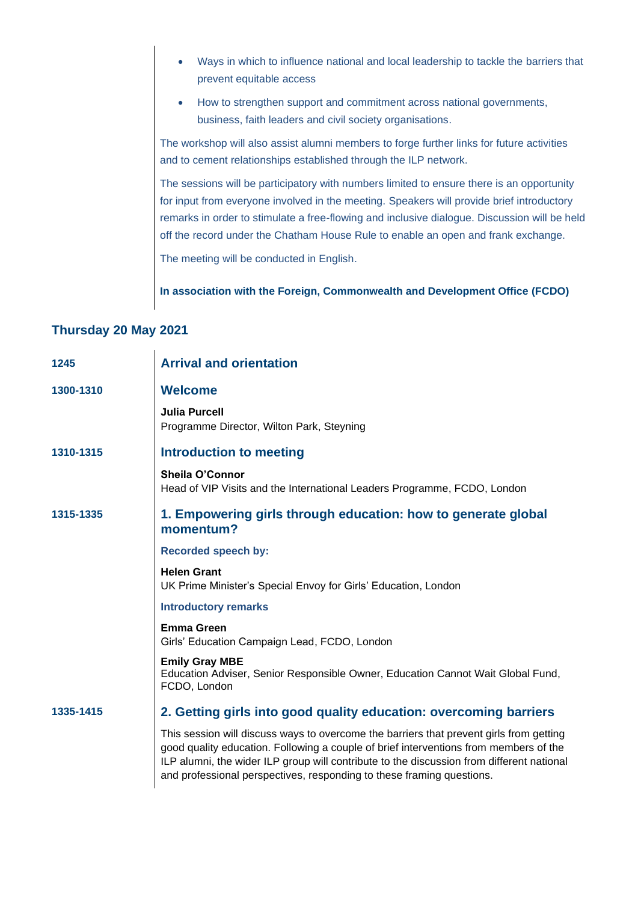- Ways in which to influence national and local leadership to tackle the barriers that prevent equitable access
- How to strengthen support and commitment across national governments, business, faith leaders and civil society organisations.

The workshop will also assist alumni members to forge further links for future activities and to cement relationships established through the ILP network.

The sessions will be participatory with numbers limited to ensure there is an opportunity for input from everyone involved in the meeting. Speakers will provide brief introductory remarks in order to stimulate a free-flowing and inclusive dialogue. Discussion will be held off the record under the Chatham House Rule to enable an open and frank exchange.

The meeting will be conducted in English.

**In association with the Foreign, Commonwealth and Development Office (FCDO)**

### **Thursday 20 May 2021**

| 1245      | <b>Arrival and orientation</b>                                                                                                                                                                                                                                                                                                                         |
|-----------|--------------------------------------------------------------------------------------------------------------------------------------------------------------------------------------------------------------------------------------------------------------------------------------------------------------------------------------------------------|
| 1300-1310 | <b>Welcome</b>                                                                                                                                                                                                                                                                                                                                         |
|           | <b>Julia Purcell</b><br>Programme Director, Wilton Park, Steyning                                                                                                                                                                                                                                                                                      |
| 1310-1315 | <b>Introduction to meeting</b>                                                                                                                                                                                                                                                                                                                         |
|           | Sheila O'Connor<br>Head of VIP Visits and the International Leaders Programme, FCDO, London                                                                                                                                                                                                                                                            |
| 1315-1335 | 1. Empowering girls through education: how to generate global<br>momentum?                                                                                                                                                                                                                                                                             |
|           | <b>Recorded speech by:</b>                                                                                                                                                                                                                                                                                                                             |
|           | <b>Helen Grant</b><br>UK Prime Minister's Special Envoy for Girls' Education, London                                                                                                                                                                                                                                                                   |
|           | <b>Introductory remarks</b>                                                                                                                                                                                                                                                                                                                            |
|           | <b>Emma Green</b><br>Girls' Education Campaign Lead, FCDO, London                                                                                                                                                                                                                                                                                      |
|           | <b>Emily Gray MBE</b><br>Education Adviser, Senior Responsible Owner, Education Cannot Wait Global Fund,<br>FCDO, London                                                                                                                                                                                                                               |
| 1335-1415 | 2. Getting girls into good quality education: overcoming barriers                                                                                                                                                                                                                                                                                      |
|           | This session will discuss ways to overcome the barriers that prevent girls from getting<br>good quality education. Following a couple of brief interventions from members of the<br>ILP alumni, the wider ILP group will contribute to the discussion from different national<br>and professional perspectives, responding to these framing questions. |